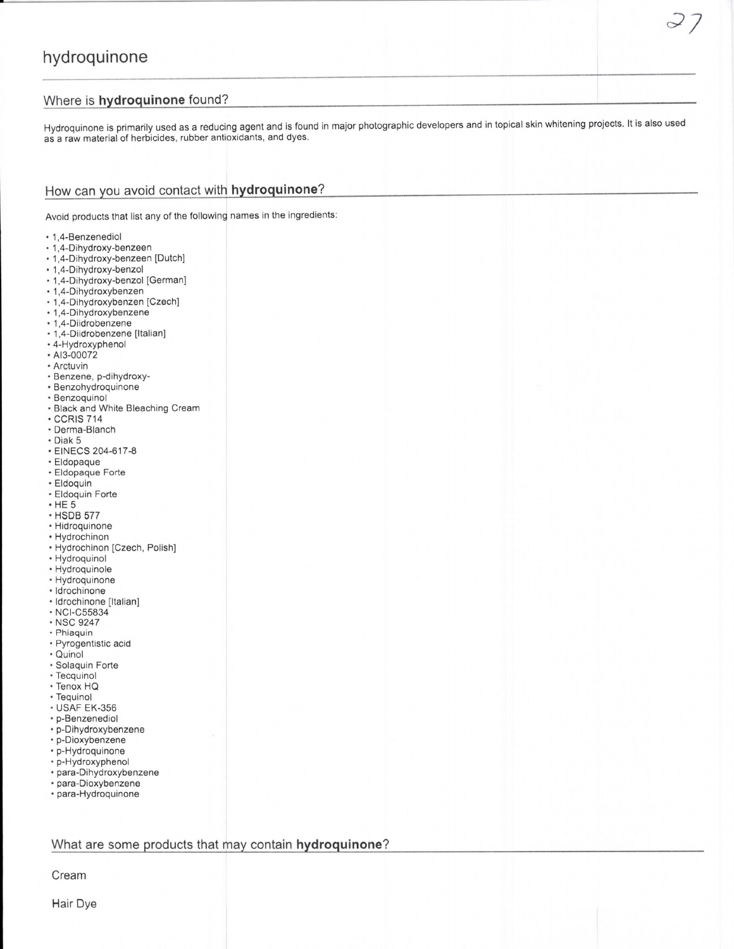## Where is hydroquinone found?

Hydroquinone is primarily used as a reducing agent and is found in major photographic developers and in topical skin whitening projects. It is also used as a raw material of herbicides, rubber antioxidants, and dyes.

 $\sim$  /

# How can you avoid contact with hydroquinone?

Avoid products that list any of the following names in the ingredients:

- 1,4-Benzenediol
- 1,4-Dihydroxy-benzeen
- · 1,4-Dihydroxy-benzeen [Dutch]
- · 1,4-Dihydroxy-benzol
- 1,4-Dihydroxy-benzol [German] · 1,4-Dihydroxybenzen
- · 1,4-Dihydroxybenzen [Czech]
- 1,4-Dihydroxybenzene
- 1,4-Diidrobenzene
- 1,4-Diidrobenzene [Italian]
- 4-Hydroxyphenol
- · AI3-00072
- Arctuvin
- · Benzene, p-dihydroxy-
- · Benzohydroquinone
- · Benzoquinol
- Black and White Bleaching Cream
- **CCRIS 714**
- Derma-Blanch
- · Diak 5
- EINECS 204-617-8
- · Eldopaque
- · Eldopaque Forte
- · Eldoquin
- · Eldoquin Forte
- $·$  HE  $5$
- HSDB 577
- Hidroquinone
- Hydrochinon
- Hydrochinon [Czech, Polish]
- · Hydroquinol
- Hydroquinole
- Hydroquinone
- Idrochinone
- · Idrochinone [Italian]
- · NCI-C55834
- · NSC 9247
- · Phiaquin
- · Pyrogentistic acid
- · Quinol
- · Solaquin Forte
- Tecquinol
- Tenox HQ
- Tequinol
- **USAF EK-356**
- p-Benzenediol
- p-Dihydroxybenzene
- p-Dioxybenzene
- p-Hydroquinone
- p-Hydroxyphenol
- · para-Dihydroxybenzene
- · para-Dioxybenzene • para-Hydroquinone

#### What are some products that may contain hydroquinone?

Cream